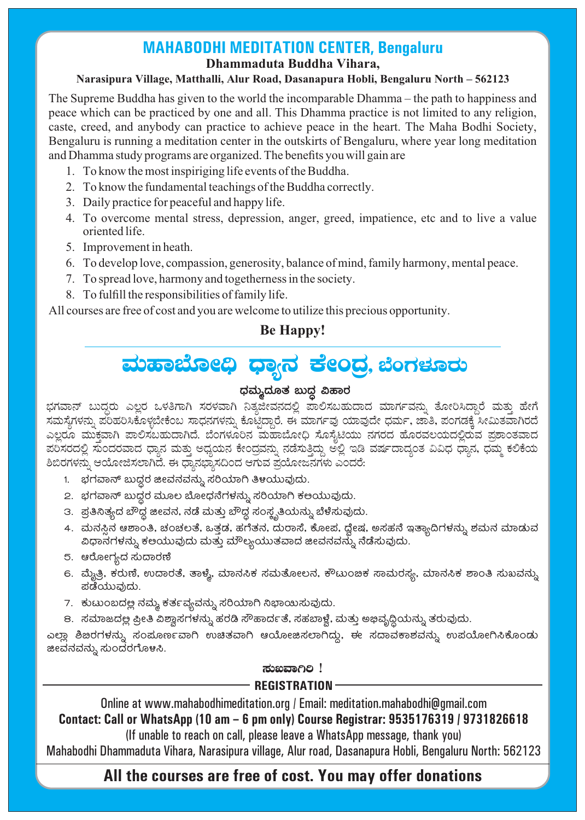## **MAHABODHI MEDITATION CENTER, Bengaluru**

#### **Dhammaduta Buddha Vihara,**

#### **Narasipura Village, Matthalli, Alur Road, Dasanapura Hobli, Bengaluru North – 562123**

The Supreme Buddha has given to the world the incomparable Dhamma – the path to happiness and peace which can be practiced by one and all. This Dhamma practice is not limited to any religion, caste, creed, and anybody can practice to achieve peace in the heart. The Maha Bodhi Society, Bengaluru is running a meditation center in the outskirts of Bengaluru, where year long meditation and Dhamma study programs are organized. The benefits you will gain are

- 1. To know the most inspiriging life events of the Buddha.
- 2. To know the fundamental teachings of the Buddha correctly.
- 3. Daily practice for peaceful and happy life.
- 4. To overcome mental stress, depression, anger, greed, impatience, etc and to live a value oriented life.
- 5. Improvement in heath.
- 6. To develop love, compassion, generosity, balance of mind, family harmony, mental peace.
- 7. To spread love, harmony and togetherness in the society.
- 8. To fulll the responsibilities of family life.

All courses are free of cost and you are welcome to utilize this precious opportunity.

## **Be Happy!**

# ªÀĺÁ¨ÉÆÃ¢ü zsÁå£À PÉÃAzÀæ, ¨ÉAUÀ¼ÀÆgÀÄ

## ಧಮ್ಯದೂತ **ಬುದ್ಧ** ವಿಹಾರ

ಭಗವಾನ್ ಬುದ್ಧರು ಎಲ್ಲರ ಒಳತಿಗಾಗಿ ಸರಳವಾಗಿ ನಿತ್ಯಜೀವನದಲ್ಲಿ ಪಾಲಿಸಬಹುದಾದ ಮಾರ್ಗವನ್ನು ತೋರಿಸಿದ್ದಾರೆ ಮತ್ತು ಹೇಗೆ ಸಮಸ್ಯೆಗಳನ್ನು ಪರಿಹರಿಸಿಕೊಳ್ಳಬೇಕೆಂಬ ಸಾಧನಗಳನ್ನು ಕೊಟ್ಟಿದ್ದಾರೆ. ಈ ಮಾರ್ಗವು ಯಾವುದೇ ಧರ್ಮ, ಜಾತಿ, ಪಂಗಡಕ್ಕೆ ಸೀಮಿತವಾಗಿರದೆ Ö ಎಲ್ಲರೂ ಮುಕ್ತವಾಗಿ ಪಾಲಿಸಬಹುದಾಗಿದೆ. ಬೆಂಗಳೂರಿನ ಮಹಾಬೋಧಿ ಸೊಸ್ನೆಟಿಯು ನಗರದ ಹೊರವಲಯದಲ್ಲಿರುವ ಪ್ರಶಾಂತವಾದ ಪರಿಸರದಲ್ಲಿ ಸುಂದರವಾದ ಧ್ಯಾನ ಮತ್ತು ಅಧ್ಯಯನ ಕೇಂದ್ರವನ್ನು ನಡೆಸುತ್ತಿದ್ದು ಅಲ್ಲಿ ಇಡಿ ವರ್ಷದಾದ್ಯಂತ ವಿವಿಧ ಧ್ಯಾನ, ಧಮ್ಮ ಕಲಿಕೆಯ ಶಿಬಿರಗಳನ್ನು ಆಯೋಜಿಸಲಾಗಿದೆ. ಈ ಧ್ಯಾನಭ್ಯಾಸದಿಂದ ಆಗುವ ಪ್ರಯೋಜನಗಳು ಎಂದರೆ:

- 1. ¨ ಭಗವಾನ್ ಬುದ್ಧರ ಜೀವನವನ್ನು ಸರಿಯಾಗಿ ತಿಳಯುವುದು.
- 2. ಭಗವಾನ್ ಬುದ್ದರ ಮೂಲ ಬೋಧನೆಗಳನ್ನು ಸರಿಯಾಗಿ ಕಅಯುವುದು.
- 3. ಪ್ರತಿನಿತ್ಯದ ಬೌದ್ಧ ಜೀವನ, ನಡೆ ಮತ್ತು ಬೌದ್ಧ ಸಂಸ್ಥೃತಿಯನ್ನು ಬೆಳೆಸುವುದು.
- 4. ಮನಸ್ಸಿನ ಆಶಾಂತಿ, ಚಂಚಲತೆ, ಒತ್ತಡ, ಹಗೆತನ, ದುರಾಸೆ, ಕೋಪ, ದ್ವೇಷ, ಅಸಹನೆ ಇತ್ಯಾದಿಗಳನ್ನು ಶಮನ ಮಾಡುವ ವಿಧಾನಗಳನ್ನು ಕಅಯುವುದು ಮತ್ತು ಮೌಲ್ಯಯುತವಾದ ಜೀವನವನ್ನು ನೆಡೆಸುವುದು.
- 5. ಆರೋಗ್ಯದ ಸುದಾರಣೆ
- 6. ಮೈತ್ರಿ, ಕರುಣಿ, ಉದಾರತೆ, ತಾಳ್ಡೆ, ಮಾನಸಿಕ ಸಮತೋಲನ, ಕೌಟುಂಚಿಕ ಸಾಮರಸ್ಯ, ಮಾನಸಿಕ ಶಾಂತಿ ಸುಖವನ್ನು ಪಡೆಯುವುದು.
- 7. ಕುಟುಂಬದಲ್ಲಿ ನಮ್ಮ ಕರ್ತವ್ಯವನ್ನು ಸರಿಯಾಗಿ ನಿಭಾಯಿಸುವುದು.
- 8. ಸಮಾಜದಲ್ಲಿ ಪ್ರೀತಿ ವಿಶ್ವಾಸಗಳನ್ನು ಹರಡಿ ಸೌಹಾರ್ದತೆ, ಸಹಬಾಳ್ವೆ, ಮತ್ತು ಅಭಿವೃದ್ಧಿಯನ್ನು ತರುವುದು.

ಎಲ್ಲಾ ಶಿಜರಗಳನ್ನು ಸಂಪೂರ್ಣವಾಗಿ ಉಚಿತವಾಗಿ ಆಯೋಜಿಸಲಾಗಿದ್ದು, ಈ ಸದಾವಕಾಶವನ್<mark>ನು</mark> ಉಪಯೋಗಿಸಿಕೊಂಡು æeವನವನ್ನು ಸುಂದರಗೊ೪ಸಿ.

#### ಹುಐವಾಗಿಲಿ !

## **REGISTRATION**

Online at www.mahabodhimeditation.org / Email: meditation.mahabodhi@gmail.com **Contact: Call or WhatsApp (10 am – 6 pm only) Course Registrar: 9535176319 / 9731826618**

(If unable to reach on call, please leave a WhatsApp message, thank you) Mahabodhi Dhammaduta Vihara, Narasipura village, Alur road, Dasanapura Hobli, Bengaluru North: 562123

# **All the courses are free of cost. You may offer donations**